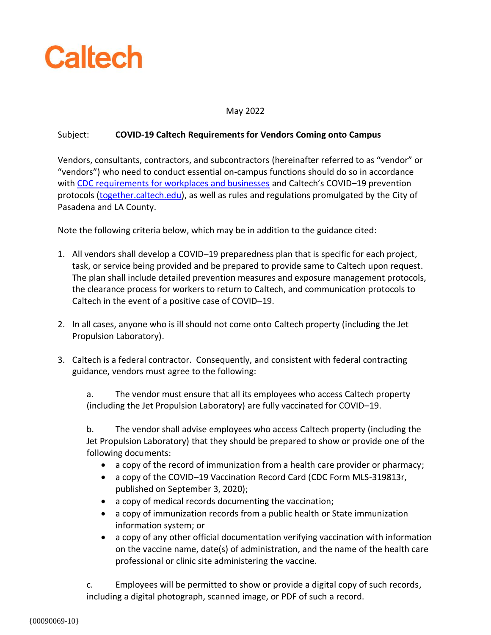

## May 2022

## Subject: **COVID-19 Caltech Requirements for Vendors Coming onto Campus**

Vendors, consultants, contractors, and subcontractors (hereinafter referred to as "vendor" or "vendors") who need to conduct essential on-campus functions should do so in accordance with [CDC requirements for workplaces and businesses](https://www.cdc.gov/coronavirus/2019-ncov/community/workplaces-businesses/index.html) and Caltech's COVID–19 prevention protocols [\(together.caltech.edu\)](https://together.caltech.edu/), as well as rules and regulations promulgated by the City of Pasadena and LA County.

Note the following criteria below, which may be in addition to the guidance cited:

- 1. All vendors shall develop a COVID–19 preparedness plan that is specific for each project, task, or service being provided and be prepared to provide same to Caltech upon request. The plan shall include detailed prevention measures and exposure management protocols, the clearance process for workers to return to Caltech, and communication protocols to Caltech in the event of a positive case of COVID–19.
- 2. In all cases, anyone who is ill should not come onto Caltech property (including the Jet Propulsion Laboratory).
- 3. Caltech is a federal contractor. Consequently, and consistent with federal contracting guidance, vendors must agree to the following:

a. The vendor must ensure that all its employees who access Caltech property (including the Jet Propulsion Laboratory) are fully vaccinated for COVID–19.

b. The vendor shall advise employees who access Caltech property (including the Jet Propulsion Laboratory) that they should be prepared to show or provide one of the following documents:

- a copy of the record of immunization from a health care provider or pharmacy;
- a copy of the COVID–19 Vaccination Record Card (CDC Form MLS-319813r, published on September 3, 2020);
- a copy of medical records documenting the vaccination;
- a copy of immunization records from a public health or State immunization information system; or
- a copy of any other official documentation verifying vaccination with information on the vaccine name, date(s) of administration, and the name of the health care professional or clinic site administering the vaccine.

c. Employees will be permitted to show or provide a digital copy of such records, including a digital photograph, scanned image, or PDF of such a record.